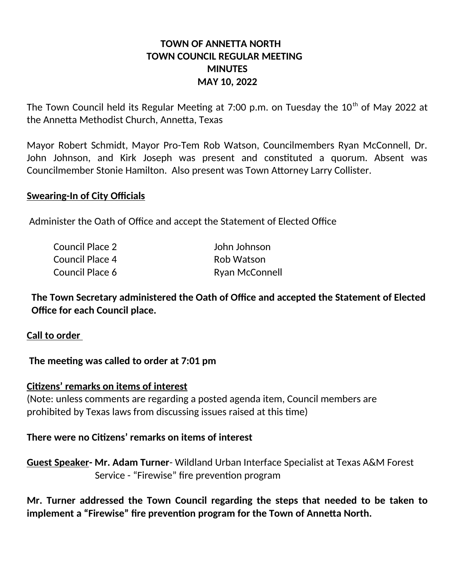# **TOWN OF ANNETTA NORTH TOWN COUNCIL REGULAR MEETING MINUTES MAY 10, 2022**

The Town Council held its Regular Meeting at 7:00 p.m. on Tuesday the  $10<sup>th</sup>$  of May 2022 at the Annetta Methodist Church, Annetta, Texas

Mayor Robert Schmidt, Mayor Pro-Tem Rob Watson, Councilmembers Ryan McConnell, Dr. John Johnson, and Kirk Joseph was present and constituted a quorum. Absent was Councilmember Stonie Hamilton. Also present was Town Attorney Larry Collister.

#### **Swearing-In of City Officials**

Administer the Oath of Office and accept the Statement of Elected Office

| Council Place 2 | John Johnson          |
|-----------------|-----------------------|
| Council Place 4 | Rob Watson            |
| Council Place 6 | <b>Ryan McConnell</b> |

 **The Town Secretary administered the Oath of Office and accepted the Statement of Elected Office for each Council place.**

**Call to order** 

 **The meeting was called to order at 7:01 pm**

**Citizens' remarks on items of interest**

(Note: unless comments are regarding a posted agenda item, Council members are prohibited by Texas laws from discussing issues raised at this time)

#### **There were no Citizens' remarks on items of interest**

**Guest Speaker- Mr. Adam Turner**- Wildland Urban Interface Specialist at Texas A&M Forest Service - "Firewise" fire prevention program

**Mr. Turner addressed the Town Council regarding the steps that needed to be taken to implement a "Firewise" fire prevention program for the Town of Annetta North.**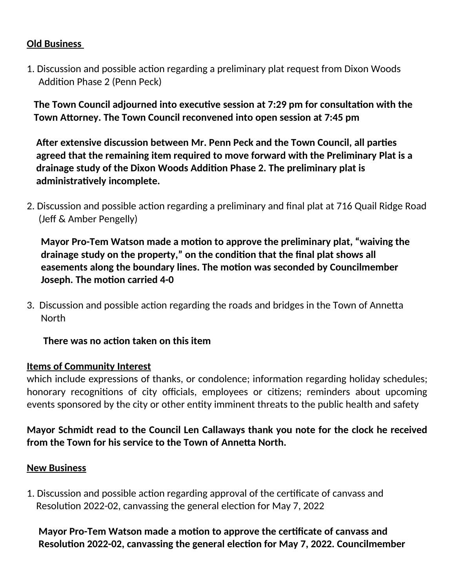# **Old Business**

1. Discussion and possible action regarding a preliminary plat request from Dixon Woods Addition Phase 2 (Penn Peck)

 **The Town Council adjourned into executive session at 7:29 pm for consultation with the Town Attorney. The Town Council reconvened into open session at 7:45 pm**

 **After extensive discussion between Mr. Penn Peck and the Town Council, all parties agreed that the remaining item required to move forward with the Preliminary Plat is a drainage study of the Dixon Woods Addition Phase 2. The preliminary plat is administratively incomplete.**

2. Discussion and possible action regarding a preliminary and final plat at 716 Quail Ridge Road (Jeff & Amber Pengelly)

 **Mayor Pro-Tem Watson made a motion to approve the preliminary plat, "waiving the drainage study on the property," on the condition that the final plat shows all easements along the boundary lines. The motion was seconded by Councilmember Joseph. The motion carried 4-0**

3. Discussion and possible action regarding the roads and bridges in the Town of Annetta **North** 

 **There was no action taken on this item**

### **Items of Community Interest**

which include expressions of thanks, or condolence; information regarding holiday schedules; honorary recognitions of city officials, employees or citizens; reminders about upcoming events sponsored by the city or other entity imminent threats to the public health and safety

# **Mayor Schmidt read to the Council Len Callaways thank you note for the clock he received from the Town for his service to the Town of Annetta North.**

### **New Business**

1. Discussion and possible action regarding approval of the certificate of canvass and Resolution 2022-02, canvassing the general election for May 7, 2022

 **Mayor Pro-Tem Watson made a motion to approve the certificate of canvass and Resolution 2022-02, canvassing the general election for May 7, 2022. Councilmember**